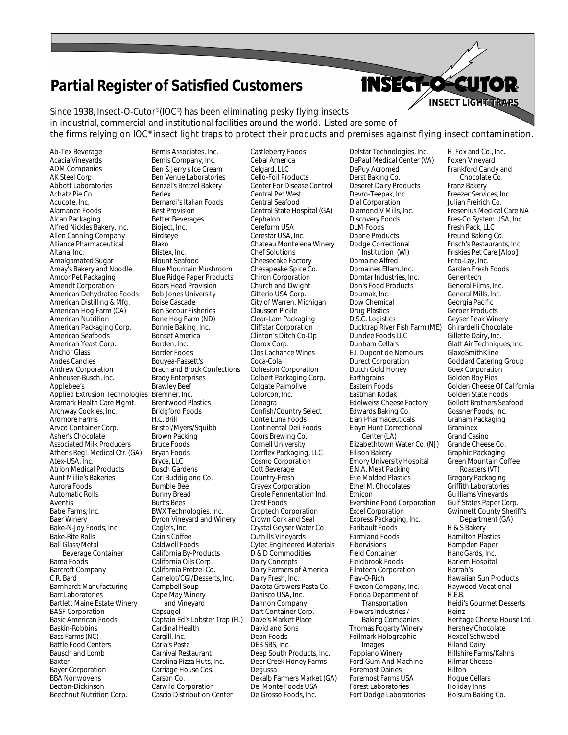## **Partial Register of Satisfied Customers**

Since 1938, Insect-O-Cutor® (IOC® ) has been eliminating pesky flying insects in industrial, commercial and institutional facilities around the world. Listed are some of the firms relying on IOC® insect light traps to protect their products and premises against flying insect contamination.

Ab-Tex Beverage Acacia Vineyards ADM Companies AK Steel Corp. Abbott Laboratories Achatz Pie Co. Acucote, Inc. Alamance Foods Alcan Packaging Alfred Nickles Bakery, Inc. Allen Canning Company Alliance Pharmaceutical Altana, Inc. Amalgamated Sugar Amay's Bakery and Noodle Amcor Pet Packaging Amendt Corporation American Dehydrated Foods American Distilling & Mfg. American Hog Farm (CA) American Nutrition American Packaging Corp. American Seafoods American Yeast Corp. Anchor Glass Andes Candies Andrew Corporation Anheuser-Busch, Inc. Applebee's Applied Extrusion Technologies Bremner, Inc. Aramark Health Care Mgmt. Archway Cookies, Inc. Ardmore Farms Arvco Container Corp. Asher's Chocolate Associated Milk Producers Athens Regl. Medical Ctr. (GA) Atex-USA, Inc. Atrion Medical Products Aunt Millie's Bakeries Aurora Foods Automatic Rolls Aventis Babe Farms, Inc. Baer Winery Bake-N-Joy Foods, Inc. Bake-Rite Rolls Ball Glass/Metal Beverage Container Bama Foods Barcroft Company C.R. Bard Barnhardt Manufacturing Barr Laboratories Bartlett Maine Estate Winery BASF Corporation Basic American Foods Baskin-Robbins Bass Farms (NC) Battle Food Centers Bausch and Lomb Baxter Bayer Corporation BBA Nonwovens Becton-Dickinson Beechnut Nutrition Corp.

Bemis Associates, Inc. Bemis Company, Inc. Ben & Jerry's Ice Cream Ben Venue Laboratories Benzel's Bretzel Bakery Berlex Bernardi's Italian Foods Best Provision Better Beverages Bioject, Inc. Birdseye Blako Blistex, Inc. Blount Seafood Blue Mountain Mushroom Blue Ridge Paper Products Boars Head Provision Bob Jones University Boise Cascade Bon Secour Fisheries Bone Hog Farm (ND) Bonnie Baking, Inc. Bonset America Borden, Inc. Border Foods Bouyea-Fassett's Brach and Brock Confections Brady Enterprises Brawley Beef Brentwood Plastics Bridgford Foods H.C. Brill Bristol/Myers/Squibb Brown Packing Bruce Foods Bryan Foods Bryce, LLC Busch Gardens Carl Buddig and Co. Bumble Bee Bunny Bread Burt's Bees BWX Technologies, Inc. Byron Vineyard and Winery Cagle's, Inc. Cain's Coffee Caldwell Foods California By-Products California Oils Corp. California Pretzel Co. Camelot/CGI/Desserts, Inc. Campbell Soup Cape May Winery and Vineyard Capsugel Captain Ed's Lobster Trap (FL) Cardinal Health Cargill, Inc. Carla's Pasta Carnival Restaurant Carolina Pizza Huts, Inc. Carriage House Cos. Carson Co. Carwild Corporation Cascio Distribution Center

Castleberry Foods Cebal America Celgard, LLC Cello-Foil Products Center For Disease Control Central Pet West Central Seafood Central State Hospital (GA) Cephalon Cereform USA Cerestar USA, Inc. Chateau Montelena Winery Chef Solutions Cheesecake Factory Chesapeake Spice Co. Chiron Corporation Church and Dwight Citterio USA Corp. City of Warren, Michigan Claussen Pickle Clear-Lam Packaging Cliffstar Corporation Clinton's Ditch Co-Op Clorox Corp. Clos Lachance Wines Coca-Cola Cohesion Corporation Colbert Packaging Corp. Colgate Palmolive Colorcon, Inc. Conagra Confish/Country Select Conte Luna Foods Continental Deli Foods Coors Brewing Co. Cornell University Corrflex Packaging, LLC Cosmo Corporation Cott Beverage Country-Fresh Crayex Corporation Creole Fermentation Ind. Crest Foods Croptech Corporation Crown Cork and Seal Crystal Geyser Water Co. Cuthills Vineyards Cytec Engineered Materials D & D Commodities Dairy Concepts Dairy Farmers of America Dairy Fresh, Inc. Dakota Growers Pasta Co. Danisco USA, Inc. Dannon Company Dart Container Corp. Dave's Market Place David and Sons Dean Foods DEB SBS, Inc. Deep South Products, Inc. Deer Creek Honey Farms Degussa Dekalb Farmers Market (GA) Del Monte Foods USA DelGrosso Foods, Inc.

Delstar Technologies, Inc. DePaul Medical Center (VA) DePuy Acromed Derst Baking Co. Deseret Dairy Products Devro-Teepak, Inc. Dial Corporation Diamond V Mills, Inc. Discovery Foods DLM Foods Doane Products Dodge Correctional Institution (WI) Domaine Alfred Domaines Ellam, Inc. Domtar Industries, Inc. Don's Food Products Doumak, Inc. Dow Chemical Drug Plastics D.S.C. Logistics Ducktrap River Fish Farm (ME) Dundee Foods LLC Dunham Cellars E.I. Dupont de Nemours Durect Corporation Dutch Gold Honey **Earthgrains** Eastern Foods Eastman Kodak Edelweiss Cheese Factory Edwards Baking Co. Elan Pharmaceuticals Elayn Hunt Correctional Center (LA) Elizabethtown Water Co. (NJ) Ellison Bakery Emory University Hospital E.N.A. Meat Packing Erie Molded Plastics Ethel M. Chocolates Ethicon Evershine Food Corporation Excel Corporation Express Packaging, Inc. Faribault Foods Farmland Foods Fibervisions Field Container Fieldbrook Foods Filmtech Corporation Flav-O-Rich Flexcon Company, Inc. Florida Department of **Transportation** Flowers Industries / Baking Companies Thomas Fogarty Winery Foilmark Holographic Images Foppiano Winery Ford Gum And Machine Foremost Dairies Foremost Farms USA Forest Laboratories Fort Dodge Laboratories

H. Fox and Co., Inc. Foxen Vineyard Frankford Candy and Chocolate Co. Franz Bakery Freezer Services, Inc. Julian Freirich Co. Fresenius Medical Care NA Fres-Co System USA, Inc. Fresh Pack, LLC Freund Baking Co. Frisch's Restaurants, Inc. Friskies Pet Care [Alpo] Frito-Lay, Inc. Garden Fresh Foods Genentech General Films, Inc. General Mills, Inc. Georgia Pacific Gerber Products Geyser Peak Winery Ghirardelli Chocolate Gillette Dairy, Inc. Glatt Air Techniques, Inc. GlaxoSmithKline Goddard Catering Group Goex Corporation Golden Boy Pies Golden Cheese Of California Golden State Foods Gollott Brothers Seafood Gossner Foods, Inc. Graham Packaging Graminex Grand Casino Grande Cheese Co. Graphic Packaging Green Mountain Coffee Roasters (VT) Gregory Packaging Griffith Laboratories Guilliams Vineyards Gulf States Paper Corp. Gwinnett County Sheriff's Department (GA) H & S Bakery Hamilton Plastics Hampden Paper HandGards, Inc. Harlem Hospital Harrah's Hawaiian Sun Products Haywood Vocational **HFR** Heidi's Gourmet Desserts Heinz Heritage Cheese House Ltd. Hershey Chocolate Hexcel Schwebel Hiland Dairy Hillshire Farms/Kahns Hilmar Cheese Hilton Hogue Cellars Holiday Inns Holsum Baking Co.

**INSECT LIGHT TRAPS INSECT LIGHT TRAPS**

**INSECT-O-CUTOR**